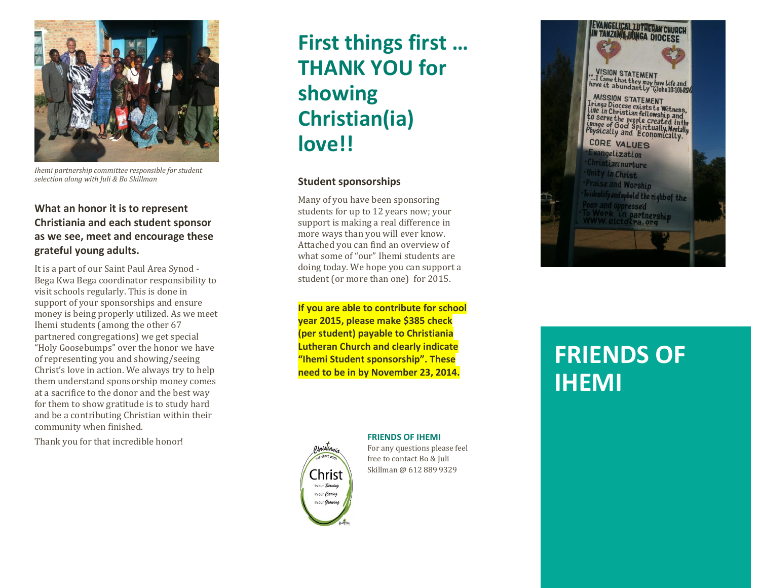

*Ihemi partnership committee responsible for student selection along with Juli & Bo Skillman*

## **What an honor it is to represent Christiania and each student sponsor as we see, meet and encourage these grateful young adults.**

It is a part of our Saint Paul Area Synod - Bega Kwa Bega coordinator responsibility to visit schools regularly. This is done in support of your sponsorships and ensure money is being properly utilized. As we meet Ihemi students (among the other 67 partnered congregations) we get special "Holy Goosebumps" over the honor we have of representing you and showing/seeing Christ's love in action. We always try to help them understand sponsorship money comes at a sacrifice to the donor and the best way for them to show gratitude is to study hard and be a contributing Christian within their community when finished.

Thank you for that incredible honor!

# **First things first … THANK YOU for showing Christian(ia) love!!**

### **Student sponsorships**

Many of you have been sponsoring students for up to 12 years now; your support is making a real difference in more ways than you will ever know. Attached you can find an overview of what some of "our" Ihemi students are doing today. We hope you can support a student (or more than one) for 2015.

**If you are able to contribute for school year 2015, please make \$385 check (per student) payable to Christiania Lutheran Church and clearly indicate "Ihemi Student sponsorship ". These need to be in by November 23, 2014 .**



### **FRIENDS OF IHEMI**

For any questions please feel free to contact Bo & Juli Skillman @ 612 889 9329



# **FRIENDS OF IHEMI**